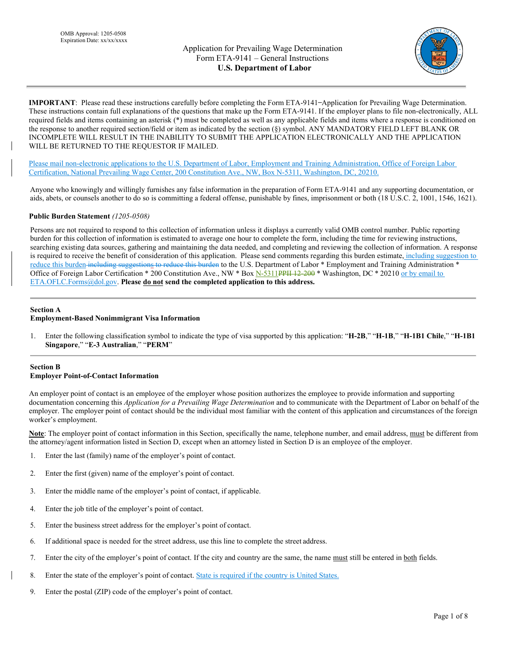

**IMPORTANT**: Please read these instructions carefully before completing the Form ETA-9141 ̶ Application for Prevailing Wage Determination. These instructions contain full explanations of the questions that make up the Form ETA-9141. If the employer plans to file non-electronically, ALL required fields and items containing an asterisk (\*) must be completed as well as any applicable fields and items where a response is conditioned on the response to another required section/field or item as indicated by the section (§) symbol. ANY MANDATORY FIELD LEFT BLANK OR INCOMPLETE WILL RESULT IN THE INABILITY TO SUBMIT THE APPLICATION ELECTRONICALLY AND THE APPLICATION WILL BE RETURNED TO THE REQUESTOR IF MAILED.

Please mail non-electronic applications to the U.S. Department of Labor, Employment and Training Administration, Office of Foreign Labor Certification, National Prevailing Wage Center, 200 Constitution Ave., NW, Box N-5311, Washington, DC, 20210.

Anyone who knowingly and willingly furnishes any false information in the preparation of Form ETA-9141 and any supporting documentation, or aids, abets, or counsels another to do so is committing a federal offense, punishable by fines, imprisonment or both (18 U.S.C. 2, 1001, 1546, 1621).

### **Public Burden Statement** *(1205-0508)*

Persons are not required to respond to this collection of information unless it displays a currently valid OMB control number. Public reporting burden for this collection of information is estimated to average one hour to complete the form, including the time for reviewing instructions, searching existing data sources, gathering and maintaining the data needed, and completing and reviewing the collection of information. A response is required to receive the benefit of consideration of this application. Please send comments regarding this burden estimate, including suggestion to reduce this burden including suggestions to reduce this burden to the U.S. Department of Labor \* Employment and Training Administration \* Office of Foreign Labor Certification \* 200 Constitution Ave., NW \* Box N-5311PPH 12-200 \* Washington, DC \* 20210 or by email to ETA.OFLC.Forms@dol.gov. **Please do not send the completed application to this address.** 

### **Section A**

### **Employment-Based Nonimmigrant Visa Information**

1. Enter the following classification symbol to indicate the type of visa supported by this application: "**H-2B**," "**H-1B**," "**H-1B1 Chile**," "**H-1B1 Singapore**," "**E-3 Australian**," "**PERM**"

#### **Section B Employer Point-of-Contact Information**

An employer point of contact is an employee of the employer whose position authorizes the employee to provide information and supporting documentation concerning this *Application for a Prevailing Wage Determination* and to communicate with the Department of Labor on behalf of the employer. The employer point of contact should be the individual most familiar with the content of this application and circumstances of the foreign worker's employment.

Note: The employer point of contact information in this Section, specifically the name, telephone number, and email address, must be different from the attorney/agent information listed in Section D, except when an attorney listed in Section D is an employee of the employer.

- 1. Enter the last (family) name of the employer's point of contact.
- 2. Enter the first (given) name of the employer's point of contact.
- 3. Enter the middle name of the employer's point of contact, if applicable.
- 4. Enter the job title of the employer's point of contact.
- 5. Enter the business street address for the employer's point of contact.
- 6. If additional space is needed for the street address, use this line to complete the street address.
- 7. Enter the city of the employer's point of contact. If the city and country are the same, the name must still be entered in both fields.
- 8. Enter the state of the employer's point of contact. State is required if the country is United States.
- 9. Enter the postal (ZIP) code of the employer's point of contact.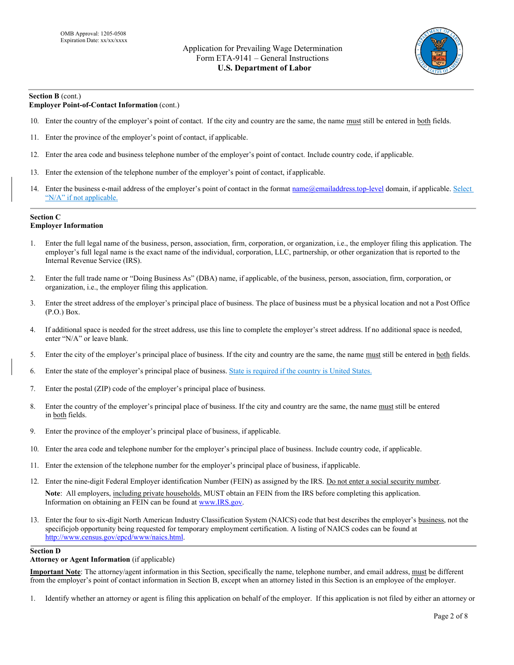

# **Section B** (cont.)

**Employer Point-of-Contact Information** (cont.)

- 10. Enter the country of the employer's point of contact. If the city and country are the same, the name must still be entered in both fields.
- 11. Enter the province of the employer's point of contact, if applicable.
- 12. Enter the area code and business telephone number of the employer's point of contact. Include country code, if applicable.
- 13. Enter the extension of the telephone number of the employer's point of contact, if applicable.
- 14. Enter the business e-mail address of the employer's point of contact in the format name@emailaddress.top-level domain, if applicable. Select "N/A" if not applicable.

# **Section C**

# **Employer Information**

- 1. Enter the full legal name of the business, person, association, firm, corporation, or organization, i.e., the employer filing this application. The employer's full legal name is the exact name of the individual, corporation, LLC, partnership, or other organization that is reported to the Internal Revenue Service (IRS).
- 2. Enter the full trade name or "Doing Business As" (DBA) name, if applicable, of the business, person, association, firm, corporation, or organization, i.e., the employer filing this application.
- 3. Enter the street address of the employer's principal place of business. The place of business must be a physical location and not a Post Office (P.O.) Box.
- 4. If additional space is needed for the street address, use this line to complete the employer's street address. If no additional space is needed, enter "N/A" or leave blank.
- 5. Enter the city of the employer's principal place of business. If the city and country are the same, the name must still be entered in both fields.
- 6. Enter the state of the employer's principal place of business. State is required if the country is United States.
- 7. Enter the postal (ZIP) code of the employer's principal place of business.
- 8. Enter the country of the employer's principal place of business. If the city and country are the same, the name must still be entered in both fields.
- 9. Enter the province of the employer's principal place of business, if applicable.
- 10. Enter the area code and telephone number for the employer's principal place of business. Include country code, if applicable.
- 11. Enter the extension of the telephone number for the employer's principal place of business, if applicable.
- 12. Enter the nine-digit Federal Employer identification Number (FEIN) as assigned by the IRS. Do not enter a social security number. **Note**: All employers, including private households, MUST obtain an FEIN from the IRS before completing this application. Information on obtaining an FEIN can be found at www.IRS.gov.
- 13. Enter the four to six-digit North American Industry Classification System (NAICS) code that best describes the employer's business, not the specific job opportunity being requested for temporary employment certification. A listing of NAICS codes can be found at http://www.census.gov/epcd/www/naics.html.

#### **Section D**

## **Attorney or Agent Information** (if applicable)

**Important Note**: The attorney/agent information in this Section, specifically the name, telephone number, and email address, must be different from the employer's point of contact information in Section B, except when an attorney listed in this Section is an employee of the employer.

1. Identify whether an attorney or agent is filing this application on behalf of the employer. If this application is not filed by either an attorney or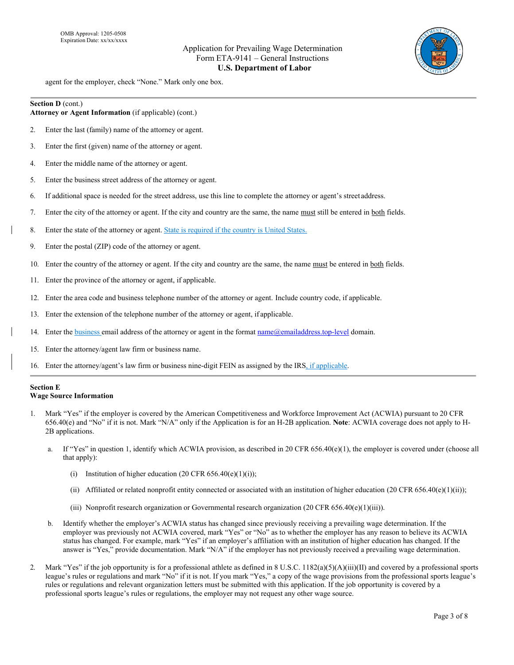

agent for the employer, check "None." Mark only one box.

### **Section D** (cont.)

#### **Attorney or Agent Information** (if applicable) (cont.)

- 2. Enter the last (family) name of the attorney or agent.
- 3. Enter the first (given) name of the attorney or agent.
- 4. Enter the middle name of the attorney or agent.
- 5. Enter the business street address of the attorney or agent.
- 6. If additional space is needed for the street address, use this line to complete the attorney or agent's street address.
- 7. Enter the city of the attorney or agent. If the city and country are the same, the name must still be entered in both fields.
- 8. Enter the state of the attorney or agent. State is required if the country is United States.
- 9. Enter the postal (ZIP) code of the attorney or agent.
- 10. Enter the country of the attorney or agent. If the city and country are the same, the name must be entered in both fields.
- 11. Enter the province of the attorney or agent, if applicable.
- 12. Enter the area code and business telephone number of the attorney or agent. Include country code, if applicable.
- 13. Enter the extension of the telephone number of the attorney or agent, if applicable.
- 14. Enter the business email address of the attorney or agent in the format name@emailaddress.top-level domain.
- 15. Enter the attorney/agent law firm or business name.
- 16. Enter the attorney/agent's law firm or business nine-digit FEIN as assigned by the IRS, if applicable.

# **Section E**

### **Wage Source Information**

- 1. Mark "Yes" if the employer is covered by the American Competitiveness and Workforce Improvement Act (ACWIA) pursuant to 20 CFR 656.40(e) and "No" if it is not. Mark "N/A" only if the Application is for an H-2B application. **Note**: ACWIA coverage does not apply to H-2B applications.
	- a. If "Yes" in question 1, identify which ACWIA provision, as described in 20 CFR  $656.40(e)(1)$ , the employer is covered under (choose all that apply):
		- (i) Institution of higher education  $(20 \text{ CFR } 656.40(e)(1)(i));$
		- (ii) Affiliated or related nonprofit entity connected or associated with an institution of higher education  $(20 \text{ CFR } 656.40(e)(1)(ii))$ ;
		- (iii) Nonprofit research organization or Governmental research organization (20 CFR 656.40(e)(1)(iii)).
	- b. Identify whether the employer's ACWIA status has changed since previously receiving a prevailing wage determination. If the employer was previously not ACWIA covered, mark "Yes" or "No" as to whether the employer has any reason to believe its ACWIA status has changed. For example, mark "Yes" if an employer's affiliation with an institution of higher education has changed. If the answer is "Yes," provide documentation. Mark "N/A" if the employer has not previously received a prevailing wage determination.
- 2. Mark "Yes" if the job opportunity is for a professional athlete as defined in 8 U.S.C.  $1182(a)(5)(A)(iii)(II)$  and covered by a professional sports league's rules or regulations and mark "No" if it is not. If you mark "Yes," a copy of the wage provisions from the professional sports league's rules or regulations and relevant organization letters must be submitted with this application. If the job opportunity is covered by a professional sports league's rules or regulations, the employer may not request any other wage source.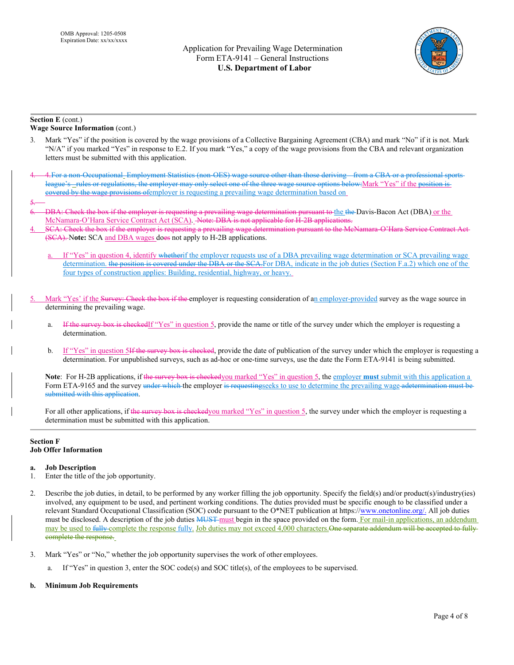

### **Section E** (cont.)

**Wage Source Information** (cont.)

- 3. Mark "Yes" if the position is covered by the wage provisions of a Collective Bargaining Agreement (CBA) and mark "No" if it is not. Mark "N/A" if you marked "Yes" in response to E.2. If you mark "Yes," a copy of the wage provisions from the CBA and relevant organization letters must be submitted with this application.
- 4. 4.For a non-Occupational Employment Statistics (non-OES) wage source other than those deriving from a CBA or a professional sports league's rules or regulations, the employer may only select one of the three wage source options below:Mark "Yes" if the position is covered by the wage provisions ofemployer is requesting a prevailing wage determination based on
- 5.
- DBA: Check the box if the employer is requesting a prevailing wage determination pursuant to the the Davis-Bacon Act (DBA) or the McNamara-O'Hara Service Contract Act (SCA). Note: DBA is not applicable for H-2B applications.
- 4. SCA: Check the box if the employer is requesting a prevailing wage determination pursuant to the McNamara-O'Hara Service Contract Act (SCA). N**ote:** SCA and DBA wages does not apply to H-2B applications.
	- If "Yes" in question 4, identify whetherif the employer requests use of a DBA prevailing wage determination or SCA prevailing wage determination. the position is covered under the DBA or the SCA.For DBA, indicate in the job duties (Section F.a.2) which one of the four types of construction applies: Building, residential, highway, or heavy.
- Mark "Yes' if the Survey: Check the box if the employer is requesting consideration of an employer-provided survey as the wage source in determining the prevailing wage.
	- a. If the survey box is checkedIf "Yes" in question 5, provide the name or title of the survey under which the employer is requesting a determination.
	- b. If "Yes" in question 5H the survey box is checked, provide the date of publication of the survey under which the employer is requesting a determination. For unpublished surveys, such as ad-hoc or one-time surveys, use the date the Form ETA-9141 is being submitted.

**Note:** For H-2B applications, if the survey box is checkedyou marked "Yes" in question 5, the employer **must** submit with this application a Form ETA-9165 and the survey under which the employer is requesting seeks to use to determine the prevailing wage adetermination must be submitted with this application.

For all other applications, if the survey box is checkedyou marked "Yes" in question 5, the survey under which the employer is requesting a determination must be submitted with this application.

# **Section F**

# **Job Offer Information**

### **a. Job Description**

- 1. Enter the title of the job opportunity.
- 2. Describe the job duties, in detail, to be performed by any worker filling the job opportunity. Specify the field(s) and/or product(s)/industry(ies) involved, any equipment to be used, and pertinent working conditions. The duties provided must be specific enough to be classified under a relevant Standard Occupational Classification (SOC) code pursuant to the O\*NET publication at https://www.onetonline.org/. All job duties must be disclosed. A description of the job duties **MUST** must begin in the space provided on the form. For mail-in applications, an addendum may be used to fully complete the response fully. Job duties may not exceed 4,000 characters. One separate addendum will be accepted to fully complete the response.
- 3. Mark "Yes" or "No," whether the job opportunity supervises the work of other employees.
	- a. If "Yes" in question 3, enter the SOC code(s) and SOC title(s), of the employees to be supervised.

#### **b. Minimum Job Requirements**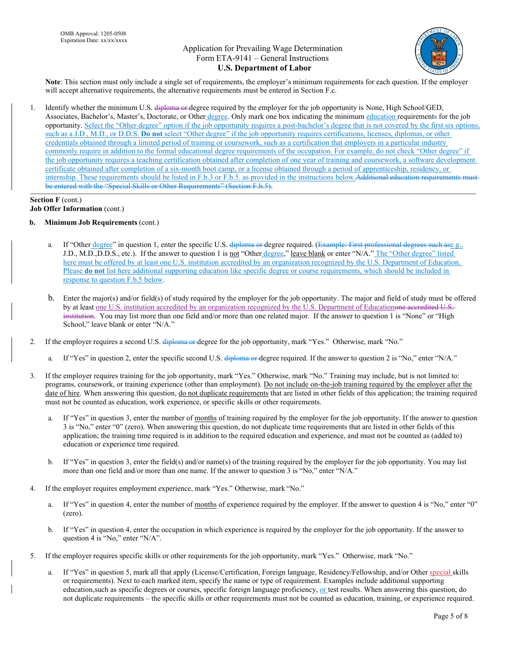

**Note**: This section must only include a single set of requirements, the employer's minimum requirements for each question. If the employer will accept alternative requirements, the alternative requirements must be entered in Section F.c.

1. Identify whether the minimum U.S. diploma or degree required by the employer for the job opportunity is None, High School/GED, Associates, Bachelor's, Master's, Doctorate, or Other degree. Only mark one box indicating the minimum education requirements for the job opportunity. Select the "Other degree" option if the job opportunity requires a post-bachelor's degree that is not covered by the first six options, such as a J.D., M.D., or D.D.S. **Do not** select "Other degree" if the job opportunity requires certifications, licenses, diplomas, or other credentials obtained through a limited period of training or coursework, such as a certification that employers in a particular industry commonly require in addition to the formal educational degree requirements of the occupation. For example, do not check "Other degree" if the job opportunity requires a teaching certification obtained after completion of one year of training and coursework, a software development certificate obtained after completion of a six-month boot camp, or a license obtained through a period of apprenticeship, residency, or internship. These requirements should be listed in F.b.3 or F.b.5. as provided in the instructions below.Additional education requirements must be entered with the "Special Skills or Other Requirements" (Section F.b.5).

### **Section F** (cont.) **Job Offer Information** (cont.)

- **b. Minimum Job Requirements** (cont.)
	- a. If "Other degree" in question 1, enter the specific U.S. diploma or degree required. (Example: First professional degrees such ase.g., J.D., M.D., D.D.S., etc.). If the answer to question 1 is not "Other degree," leave blank or enter "N/A." The "Other degree" listed here must be offered by at least one U.S. institution accredited by an organization recognized by the U.S. Department of Education. Please **do not** list here additional supporting education like specific degree or course requirements, which should be included in response to question F.b.5 below.
	- b. Enter the major(s) and/or field(s) of study required by the employer for the job opportunity. The major and field of study must be offered by at least <u>one U.S. institution accredited by an organization recognized by the U.S. Department of Education</u>one accredited U.S. institution. You may list more than one field and/or more than one related major. If the answer to question 1 is "None" or "High School," leave blank or enter "N/A."
- 2. If the employer requires a second U.S. diploma or degree for the job opportunity, mark "Yes." Otherwise, mark "No."
	- a. If "Yes" in question 2, enter the specific second U.S. diploma or degree required. If the answer to question 2 is "No," enter "N/A."
- 3. If the employer requires training for the job opportunity, mark "Yes." Otherwise, mark "No." Training may include, but is not limited to: programs, coursework, or training experience (other than employment). Do not include on-the-job training required by the employer after the date of hire. When answering this question, do not duplicate requirements that are listed in other fields of this application; the training required must not be counted as education, work experience, or specific skills or other requirements.
	- a. If "Yes" in question 3, enter the number of months of training required by the employer for the job opportunity. If the answer to question 3 is "No," enter "0" (zero). When answering this question, do not duplicate time requirements that are listed in other fields of this application; the training time required is in addition to the required education and experience, and must not be counted as (added to) education or experience time required.
	- b. If "Yes" in question 3, enter the field(s) and/or name(s) of the training required by the employer for the job opportunity. You may list more than one field and/or more than one name. If the answer to question 3 is "No," enter "N/A."
- 4. If the employer requires employment experience, mark "Yes." Otherwise, mark "No."
	- a. If "Yes" in question 4, enter the number of months of experience required by the employer. If the answer to question 4 is "No," enter "0" (zero).
	- b. If "Yes" in question 4, enter the occupation in which experience is required by the employer for the job opportunity. If the answer to question 4 is "No," enter "N/A".
- 5. If the employer requires specific skills or other requirements for the job opportunity, mark "Yes." Otherwise, mark "No."
	- a. If "Yes" in question 5, mark all that apply (License/Certification, Foreign language, Residency/Fellowship, and/or Other special skills or requirements). Next to each marked item, specify the name or type of requirement. Examples include additional supporting education, such as specific degrees or courses, specific foreign language proficiency, or test results. When answering this question, do not duplicate requirements – the specific skills or other requirements must not be counted as education, training, or experience required.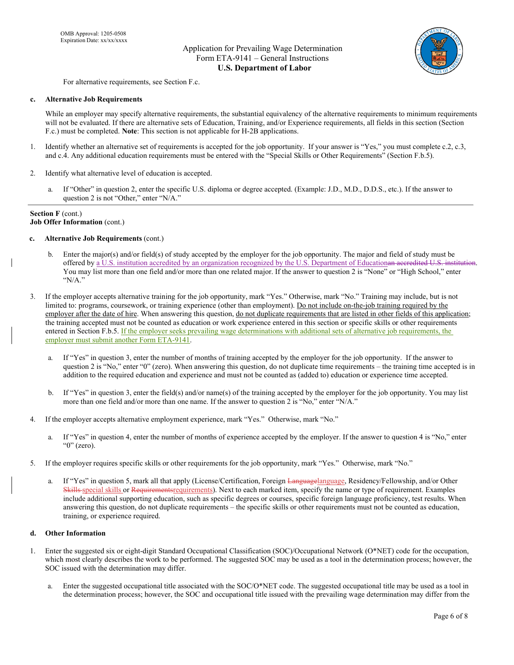

For alternative requirements, see Section F.c.

#### **c. Alternative Job Requirements**

While an employer may specify alternative requirements, the substantial equivalency of the alternative requirements to minimum requirements will not be evaluated. If there are alternative sets of Education, Training, and/or Experience requirements, all fields in this section (Section F.c.) must be completed. **Note**: This section is not applicable for H-2B applications.

- 1. Identify whether an alternative set of requirements is accepted for the job opportunity. If your answer is "Yes," you must complete c.2, c.3, and c.4. Any additional education requirements must be entered with the "Special Skills or Other Requirements" (Section F.b.5).
- 2. Identify what alternative level of education is accepted.
	- a. If "Other" in question 2, enter the specific U.S. diploma or degree accepted. (Example: J.D., M.D., D.D.S., etc.). If the answer to question 2 is not "Other," enter "N/A."

# **Section F** (cont.)

# **Job Offer Information** (cont.)

#### **c. Alternative Job Requirements** (cont.)

- b. Enter the major(s) and/or field(s) of study accepted by the employer for the job opportunity. The major and field of study must be offered by a U.S. institution accredited by an organization recognized by the U.S. Department of Educationan accredited U.S. institution. You may list more than one field and/or more than one related major. If the answer to question 2 is "None" or "High School," enter "N/A."
- 3. If the employer accepts alternative training for the job opportunity, mark "Yes." Otherwise, mark "No." Training may include, but is not limited to: programs, coursework, or training experience (other than employment). <u>Do not include on-the-job training required by the</u> employer after the date of hire. When answering this question, do not duplicate requirements that are listed in other fields of this application; the training accepted must not be counted as education or work experience entered in this section or specific skills or other requirements entered in Section F.b.5. If the employer seeks prevailing wage determinations with additional sets of alternative job requirements, the employer must submit another Form ETA-9141.
	- a. If "Yes" in question 3, enter the number of months of training accepted by the employer for the job opportunity. If the answer to question 2 is "No," enter "0" (zero). When answering this question, do not duplicate time requirements – the training time accepted is in addition to the required education and experience and must not be counted as (added to) education or experience time accepted.
	- b. If "Yes" in question 3, enter the field(s) and/or name(s) of the training accepted by the employer for the job opportunity. You may list more than one field and/or more than one name. If the answer to question 2 is "No," enter "N/A."
- 4. If the employer accepts alternative employment experience, mark "Yes." Otherwise, mark "No."
	- a. If "Yes" in question 4, enter the number of months of experience accepted by the employer. If the answer to question 4 is "No," enter "0" (zero).
- 5. If the employer requires specific skills or other requirements for the job opportunity, mark "Yes." Otherwise, mark "No."
	- a. If "Yes" in question 5, mark all that apply (License/Certification, Foreign Languagelanguage, Residency/Fellowship, and/or Other Skills-special skills or Requirements requirements). Next to each marked item, specify the name or type of requirement. Examples include additional supporting education, such as specific degrees or courses, specific foreign language proficiency, test results. When answering this question, do not duplicate requirements – the specific skills or other requirements must not be counted as education, training, or experience required.

#### **d. Other Information**

- 1. Enter the suggested six or eight-digit Standard Occupational Classification (SOC)/Occupational Network (O\*NET) code for the occupation, which most clearly describes the work to be performed. The suggested SOC may be used as a tool in the determination process; however, the SOC issued with the determination may differ.
	- a. Enter the suggested occupational title associated with the SOC/O\*NET code. The suggested occupational title may be used as a tool in the determination process; however, the SOC and occupational title issued with the prevailing wage determination may differ from the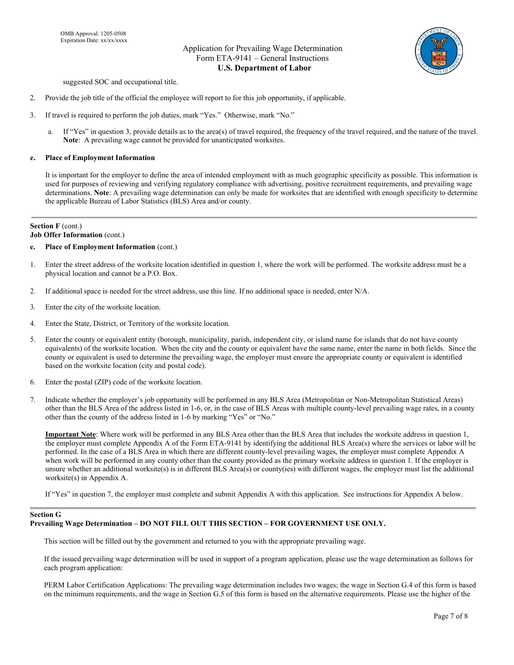

suggested SOC and occupational title.

- 2. Provide the job title of the official the employee will report to for this job opportunity, if applicable.
- 3. If travel is required to perform the job duties, mark "Yes." Otherwise, mark "No."
	- a. If "Yes" in question 3, provide details as to the area(s) of travel required, the frequency of the travel required, and the nature of the travel. **Note**: A prevailing wage cannot be provided for unanticipated worksites.

### **e. Place of Employment Information**

It is important for the employer to define the area of intended employment with as much geographic specificity as possible. This information is used for purposes of reviewing and verifying regulatory compliance with advertising, positive recruitment requirements, and prevailing wage determinations. **Note**: A prevailing wage determination can only be made for worksites that are identified with enough specificity to determine the applicable Bureau of Labor Statistics (BLS) Area and/or county.

# **Section F** (cont.)

**Job Offer Information** (cont.)

#### **e. Place of Employment Information** (cont.)

- 1. Enter the street address of the worksite location identified in question 1, where the work will be performed. The worksite address must be a physical location and cannot be a P.O. Box.
- 2. If additional space is needed for the street address, use this line. If no additional space is needed, enter N/A.
- 3. Enter the city of the worksite location.
- 4. Enter the State, District, or Territory of the worksite location.
- 5. Enter the county or equivalent entity (borough, municipality, parish, independent city, or island name for islands that do not have county equivalents) of the worksite location. When the city and the county or equivalent have the same name, enter the name in both fields. Since the county or equivalent is used to determine the prevailing wage, the employer must ensure the appropriate county or equivalent is identified based on the worksite location (city and postal code).
- 6. Enter the postal (ZIP) code of the worksite location.
- 7. Indicate whether the employer's job opportunity will be performed in any BLS Area (Metropolitan or Non-Metropolitan Statistical Areas) other than the BLS Area of the address listed in 1-6, or, in the case of BLS Areas with multiple county-level prevailing wage rates, in a county other than the county of the address listed in 1-6 by marking "Yes" or "No."

**Important Note**: Where work will be performed in any BLS Area other than the BLS Area that includes the worksite address in question 1, the employer must complete Appendix A of the Form ETA-9141 by identifying the additional BLS Area(s) where the services or labor will be performed. In the case of a BLS Area in which there are different county-level prevailing wages, the employer must complete Appendix A when work will be performed in any county other than the county provided as the primary worksite address in question 1. If the employer is unsure whether an additional worksite(s) is in different BLS Area(s) or county(ies) with different wages, the employer must list the additional worksite(s) in Appendix A.

If "Yes" in question 7, the employer must complete and submit Appendix A with this application. See instructions for Appendix A below.

#### **Section G**

### **Prevailing Wage Determination – DO NOT FILL OUT THIS SECTION – FOR GOVERNMENT USE ONLY.**

This section will be filled out by the government and returned to you with the appropriate prevailing wage.

If the issued prevailing wage determination will be used in support of a program application, please use the wage determination as follows for each program application:

PERM Labor Certification Applications: The prevailing wage determination includes two wages; the wage in Section G.4 of this form is based on the minimum requirements, and the wage in Section G.5 of this form is based on the alternative requirements. Please use the higher of the